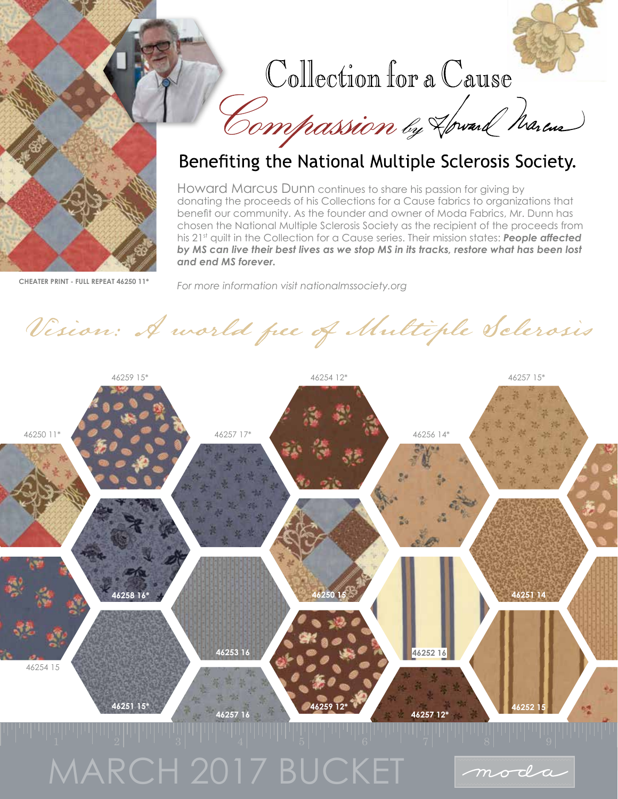

## Collection for a Cause

Compassion by Howard Marcus



## Benefiting the National Multiple Sclerosis Society.

Howard Marcus Dunn continues to share his passion for giving by donating the proceeds of his Collections for a Cause fabrics to organizations that benefit our community. As the founder and owner of Moda Fabrics, Mr. Dunn has chosen the National Multiple Sclerosis Society as the recipient of the proceeds from his 21<sup>st</sup> quilt in the Collection for a Cause series. Their mission states: **People affected** *by MS can live their best lives as we stop MS in its tracks, restore what has been lost and end MS forever.* 

*For more information visit nationalmssociety.org*

Vision: A world free of Multiple Sclerosis